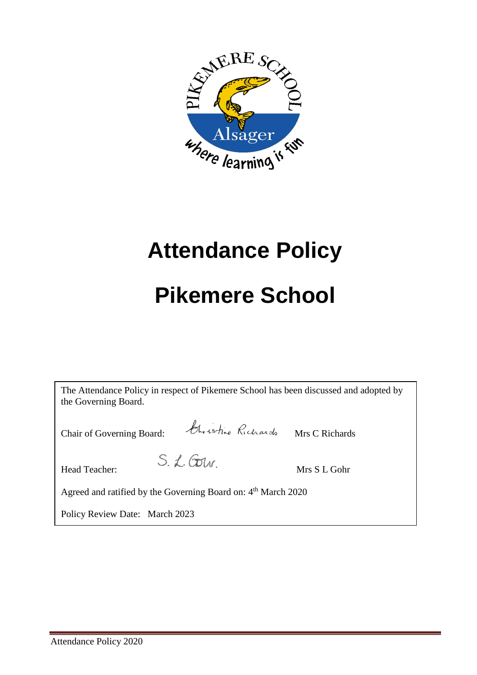

# **Attendance Policy**

## **Pikemere School**

| The Attendance Policy in respect of Pikemere School has been discussed and adopted by<br>the Governing Board. |              |
|---------------------------------------------------------------------------------------------------------------|--------------|
| Christine Richards Mrs C Richards<br>Chair of Governing Board:                                                |              |
| $S. L.$ Corr<br>Head Teacher:                                                                                 | Mrs S L Gohr |
| Agreed and ratified by the Governing Board on: 4 <sup>th</sup> March 2020                                     |              |
| Policy Review Date: March 2023                                                                                |              |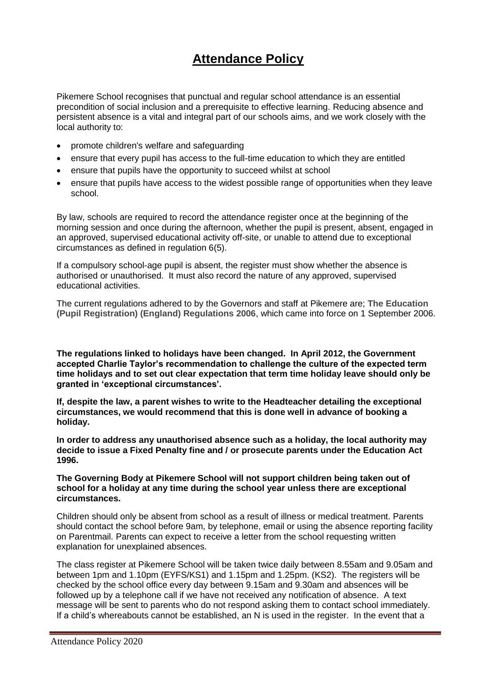## **Attendance Policy**

Pikemere School recognises that punctual and regular school attendance is an essential precondition of social inclusion and a prerequisite to effective learning. Reducing absence and persistent absence is a vital and integral part of our schools aims, and we work closely with the local authority to:

- promote children's welfare and safeguarding
- ensure that every pupil has access to the full-time education to which they are entitled
- ensure that pupils have the opportunity to succeed whilst at school
- ensure that pupils have access to the widest possible range of opportunities when they leave school.

By law, schools are required to record the attendance register once at the beginning of the morning session and once during the afternoon, whether the pupil is present, absent, engaged in an approved, supervised educational activity off-site, or unable to attend due to exceptional circumstances as defined in regulation 6(5).

If a compulsory school-age pupil is absent, the register must show whether the absence is authorised or unauthorised. It must also record the nature of any approved, supervised educational activities.

The current regulations adhered to by the Governors and staff at Pikemere are; **[The Education](http://www.opsi.gov.uk/si/si2006/20061751.htm)  [\(Pupil Registration\) \(England\) Regulations 2006](http://www.opsi.gov.uk/si/si2006/20061751.htm)**, which came into force on 1 September 2006.

**The regulations linked to holidays have been changed. In April 2012, the Government accepted Charlie Taylor's recommendation to challenge the culture of the expected term time holidays and to set out clear expectation that term time holiday leave should only be granted in 'exceptional circumstances'.** 

**If, despite the law, a parent wishes to write to the Headteacher detailing the exceptional circumstances, we would recommend that this is done well in advance of booking a holiday.** 

**In order to address any unauthorised absence such as a holiday, the local authority may decide to issue a Fixed Penalty fine and / or prosecute parents under the Education Act 1996.**

#### **The Governing Body at Pikemere School will not support children being taken out of school for a holiday at any time during the school year unless there are exceptional circumstances.**

Children should only be absent from school as a result of illness or medical treatment. Parents should contact the school before 9am, by telephone, email or using the absence reporting facility on Parentmail. Parents can expect to receive a letter from the school requesting written explanation for unexplained absences.

The class register at Pikemere School will be taken twice daily between 8.55am and 9.05am and between 1pm and 1.10pm (EYFS/KS1) and 1.15pm and 1.25pm. (KS2). The registers will be checked by the school office every day between 9.15am and 9.30am and absences will be followed up by a telephone call if we have not received any notification of absence. A text message will be sent to parents who do not respond asking them to contact school immediately. If a child's whereabouts cannot be established, an N is used in the register. In the event that a